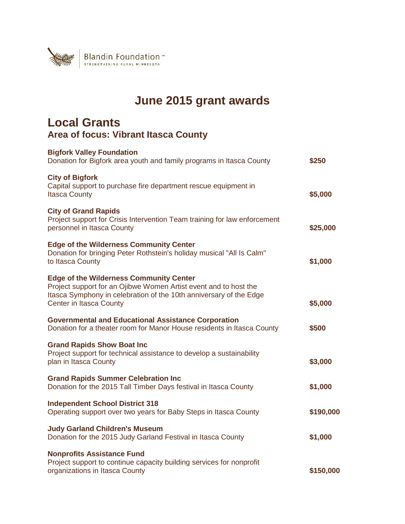

## **June 2015 grant awards**

## **Local Grants Area of focus: Vibrant Itasca County**

| \$5,000   |
|-----------|
| \$25,000  |
| \$1,000   |
| \$5,000   |
|           |
| \$3,000   |
|           |
| \$1,000   |
| \$190,000 |
| \$1,000   |
|           |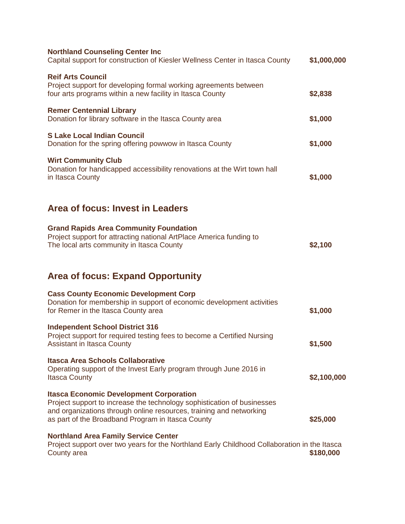| <b>Northland Counseling Center Inc</b><br>Capital support for construction of Kiesler Wellness Center in Itasca County                                                                                                                                | \$1,000,000 |
|-------------------------------------------------------------------------------------------------------------------------------------------------------------------------------------------------------------------------------------------------------|-------------|
| <b>Reif Arts Council</b><br>Project support for developing formal working agreements between<br>four arts programs within a new facility in Itasca County                                                                                             | \$2,838     |
| <b>Remer Centennial Library</b><br>Donation for library software in the Itasca County area                                                                                                                                                            | \$1,000     |
| <b>S Lake Local Indian Council</b><br>Donation for the spring offering powwow in Itasca County                                                                                                                                                        | \$1,000     |
| <b>Wirt Community Club</b><br>Donation for handicapped accessibility renovations at the Wirt town hall<br>in Itasca County                                                                                                                            | \$1,000     |
| Area of focus: Invest in Leaders                                                                                                                                                                                                                      |             |
| <b>Grand Rapids Area Community Foundation</b><br>Project support for attracting national ArtPlace America funding to<br>The local arts community in Itasca County                                                                                     | \$2,100     |
| <b>Area of focus: Expand Opportunity</b>                                                                                                                                                                                                              |             |
| <b>Cass County Economic Development Corp</b><br>Donation for membership in support of economic development activities<br>for Remer in the Itasca County area                                                                                          | \$1,000     |
| <b>Independent School District 316</b><br>Project support for required testing fees to become a Certified Nursing<br><b>Assistant in Itasca County</b>                                                                                                | \$1,500     |
| <b>Itasca Area Schools Collaborative</b><br>Operating support of the Invest Early program through June 2016 in<br><b>Itasca County</b>                                                                                                                | \$2,100,000 |
| <b>Itasca Economic Development Corporation</b><br>Project support to increase the technology sophistication of businesses<br>and organizations through online resources, training and networking<br>as part of the Broadband Program in Itasca County | \$25,000    |
| <b>Northland Area Family Service Center</b><br>Project support over two years for the Northland Early Childhood Collaboration in the Itasca<br>County area                                                                                            | \$180,000   |
|                                                                                                                                                                                                                                                       |             |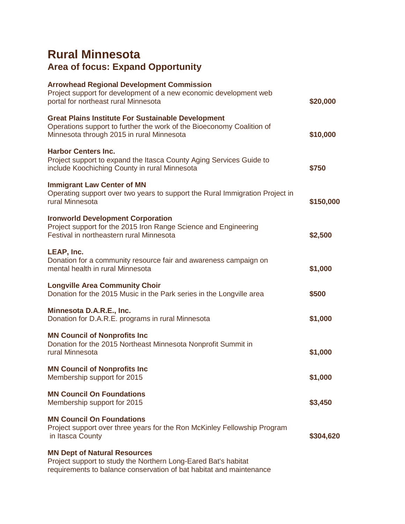## **Rural Minnesota Area of focus: Expand Opportunity**

| <b>Arrowhead Regional Development Commission</b><br>Project support for development of a new economic development web<br>portal for northeast rural Minnesota                   | \$20,000  |
|---------------------------------------------------------------------------------------------------------------------------------------------------------------------------------|-----------|
| <b>Great Plains Institute For Sustainable Development</b><br>Operations support to further the work of the Bioeconomy Coalition of<br>Minnesota through 2015 in rural Minnesota | \$10,000  |
| <b>Harbor Centers Inc.</b><br>Project support to expand the Itasca County Aging Services Guide to<br>include Koochiching County in rural Minnesota                              | \$750     |
| <b>Immigrant Law Center of MN</b><br>Operating support over two years to support the Rural Immigration Project in<br>rural Minnesota                                            | \$150,000 |
| <b>Ironworld Development Corporation</b><br>Project support for the 2015 Iron Range Science and Engineering<br>Festival in northeastern rural Minnesota                         | \$2,500   |
| LEAP, Inc.<br>Donation for a community resource fair and awareness campaign on<br>mental health in rural Minnesota                                                              | \$1,000   |
| <b>Longville Area Community Choir</b><br>Donation for the 2015 Music in the Park series in the Longville area                                                                   | \$500     |
| Minnesota D.A.R.E., Inc.<br>Donation for D.A.R.E. programs in rural Minnesota                                                                                                   | \$1,000   |
| <b>MN Council of Nonprofits Inc</b><br>Donation for the 2015 Northeast Minnesota Nonprofit Summit in<br>rural Minnesota                                                         | \$1,000   |
| <b>MN Council of Nonprofits Inc</b><br>Membership support for 2015                                                                                                              | \$1,000   |
| <b>MN Council On Foundations</b><br>Membership support for 2015                                                                                                                 | \$3,450   |
| <b>MN Council On Foundations</b><br>Project support over three years for the Ron McKinley Fellowship Program<br>in Itasca County                                                | \$304,620 |
| <b>MN Dept of Natural Resources</b><br>Project support to study the Northern Long-Eared Bat's habitat<br>requirements to balance conservation of bat habitat and maintenance    |           |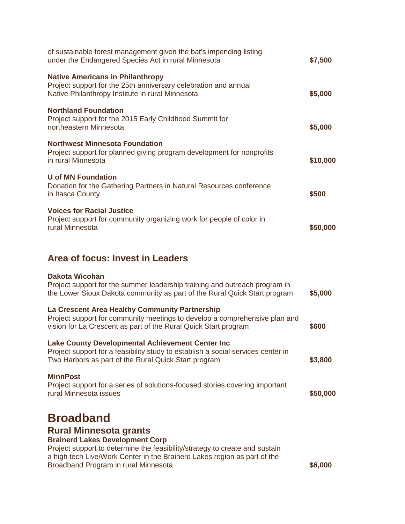| of sustainable forest management given the bat's impending listing<br>under the Endangered Species Act in rural Minnesota                                      | \$7,500  |
|----------------------------------------------------------------------------------------------------------------------------------------------------------------|----------|
| <b>Native Americans in Philanthropy</b><br>Project support for the 25th anniversary celebration and annual<br>Native Philanthropy Institute in rural Minnesota | \$5,000  |
| <b>Northland Foundation</b><br>Project support for the 2015 Early Childhood Summit for<br>northeastern Minnesota                                               | \$5,000  |
| <b>Northwest Minnesota Foundation</b><br>Project support for planned giving program development for nonprofits<br>in rural Minnesota                           | \$10,000 |
| U of MN Foundation<br>Donation for the Gathering Partners in Natural Resources conference<br>in Itasca County                                                  | \$500    |
| <b>Voices for Racial Justice</b><br>Project support for community organizing work for people of color in<br>rural Minnesota                                    | \$50,000 |
|                                                                                                                                                                |          |

## **Area of focus: Invest in Leaders**

| Dakota Wicohan<br>Project support for the summer leadership training and outreach program in<br>the Lower Sioux Dakota community as part of the Rural Quick Start program                                                                                                                      | \$5,000  |
|------------------------------------------------------------------------------------------------------------------------------------------------------------------------------------------------------------------------------------------------------------------------------------------------|----------|
| La Crescent Area Healthy Community Partnership<br>Project support for community meetings to develop a comprehensive plan and<br>vision for La Crescent as part of the Rural Quick Start program                                                                                                | \$600    |
| <b>Lake County Developmental Achievement Center Inc.</b><br>Project support for a feasibility study to establish a social services center in<br>Two Harbors as part of the Rural Quick Start program                                                                                           | \$3,800  |
| <b>MinnPost</b><br>Project support for a series of solutions-focused stories covering important<br>rural Minnesota issues                                                                                                                                                                      | \$50,000 |
| <b>Broadband</b><br><b>Rural Minnesota grants</b><br><b>Brainerd Lakes Development Corp</b><br>Project support to determine the feasibility/strategy to create and sustain<br>a high tech Live/Work Center in the Brainerd Lakes region as part of the<br>Broadband Program in rural Minnesota | \$6,000  |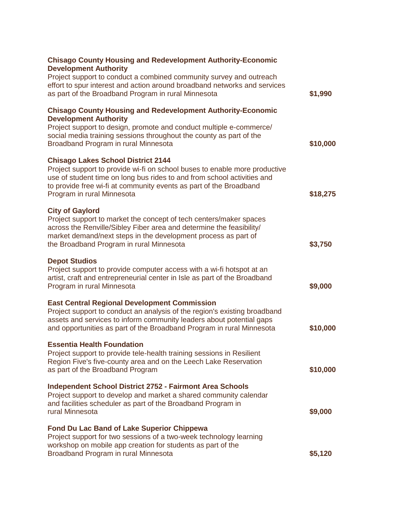| <b>Chisago County Housing and Redevelopment Authority-Economic</b><br><b>Development Authority</b>                                                                                                                                                                                                     |          |
|--------------------------------------------------------------------------------------------------------------------------------------------------------------------------------------------------------------------------------------------------------------------------------------------------------|----------|
| Project support to conduct a combined community survey and outreach<br>effort to spur interest and action around broadband networks and services<br>as part of the Broadband Program in rural Minnesota                                                                                                | \$1,990  |
| <b>Chisago County Housing and Redevelopment Authority-Economic</b><br><b>Development Authority</b>                                                                                                                                                                                                     |          |
| Project support to design, promote and conduct multiple e-commerce/<br>social media training sessions throughout the county as part of the<br>Broadband Program in rural Minnesota                                                                                                                     | \$10,000 |
| <b>Chisago Lakes School District 2144</b><br>Project support to provide wi-fi on school buses to enable more productive<br>use of student time on long bus rides to and from school activities and<br>to provide free wi-fi at community events as part of the Broadband<br>Program in rural Minnesota | \$18,275 |
| <b>City of Gaylord</b><br>Project support to market the concept of tech centers/maker spaces<br>across the Renville/Sibley Fiber area and determine the feasibility/<br>market demand/next steps in the development process as part of<br>the Broadband Program in rural Minnesota                     | \$3,750  |
| <b>Depot Studios</b><br>Project support to provide computer access with a wi-fi hotspot at an<br>artist, craft and entrepreneurial center in Isle as part of the Broadband<br>Program in rural Minnesota                                                                                               | \$9,000  |
| <b>East Central Regional Development Commission</b><br>Project support to conduct an analysis of the region's existing broadband<br>assets and services to inform community leaders about potential gaps<br>and opportunities as part of the Broadband Program in rural Minnesota                      | \$10,000 |
| <b>Essentia Health Foundation</b><br>Project support to provide tele-health training sessions in Resilient<br>Region Five's five-county area and on the Leech Lake Reservation<br>as part of the Broadband Program                                                                                     | \$10,000 |
| <b>Independent School District 2752 - Fairmont Area Schools</b><br>Project support to develop and market a shared community calendar<br>and facilities scheduler as part of the Broadband Program in<br>rural Minnesota                                                                                | \$9,000  |
| <b>Fond Du Lac Band of Lake Superior Chippewa</b><br>Project support for two sessions of a two-week technology learning<br>workshop on mobile app creation for students as part of the<br>Broadband Program in rural Minnesota                                                                         | \$5,120  |
|                                                                                                                                                                                                                                                                                                        |          |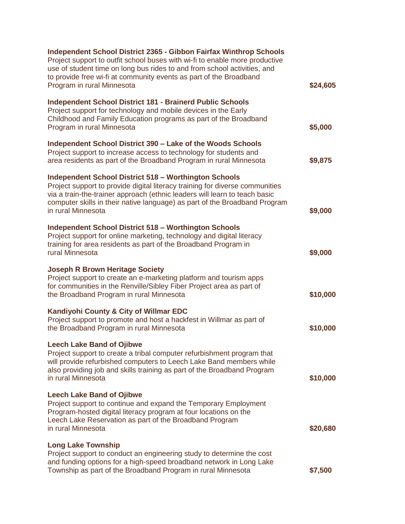| Independent School District 2365 - Gibbon Fairfax Winthrop Schools<br>Project support to outfit school buses with wi-fi to enable more productive<br>use of student time on long bus rides to and from school activities, and<br>to provide free wi-fi at community events as part of the Broadband<br>Program in rural Minnesota | \$24,605 |
|-----------------------------------------------------------------------------------------------------------------------------------------------------------------------------------------------------------------------------------------------------------------------------------------------------------------------------------|----------|
| <b>Independent School District 181 - Brainerd Public Schools</b><br>Project support for technology and mobile devices in the Early<br>Childhood and Family Education programs as part of the Broadband<br>Program in rural Minnesota                                                                                              | \$5,000  |
| Independent School District 390 – Lake of the Woods Schools<br>Project support to increase access to technology for students and<br>area residents as part of the Broadband Program in rural Minnesota                                                                                                                            | \$9,875  |
| <b>Independent School District 518 - Worthington Schools</b><br>Project support to provide digital literacy training for diverse communities<br>via a train-the-trainer approach (ethnic leaders will learn to teach basic<br>computer skills in their native language) as part of the Broadband Program<br>in rural Minnesota    | \$9,000  |
| <b>Independent School District 518 - Worthington Schools</b><br>Project support for online marketing, technology and digital literacy<br>training for area residents as part of the Broadband Program in<br>rural Minnesota                                                                                                       | \$9,000  |
| <b>Joseph R Brown Heritage Society</b><br>Project support to create an e-marketing platform and tourism apps<br>for communities in the Renville/Sibley Fiber Project area as part of<br>the Broadband Program in rural Minnesota                                                                                                  | \$10,000 |
| Kandiyohi County & City of Willmar EDC<br>Project support to promote and host a hackfest in Willmar as part of<br>the Broadband Program in rural Minnesota                                                                                                                                                                        | \$10,000 |
| <b>Leech Lake Band of Ojibwe</b><br>Project support to create a tribal computer refurbishment program that<br>will provide refurbished computers to Leech Lake Band members while<br>also providing job and skills training as part of the Broadband Program<br>in rural Minnesota                                                | \$10,000 |
| <b>Leech Lake Band of Ojibwe</b><br>Project support to continue and expand the Temporary Employment<br>Program-hosted digital literacy program at four locations on the<br>Leech Lake Reservation as part of the Broadband Program<br>in rural Minnesota                                                                          | \$20,680 |
| <b>Long Lake Township</b><br>Project support to conduct an engineering study to determine the cost<br>and funding options for a high-speed broadband network in Long Lake<br>Township as part of the Broadband Program in rural Minnesota                                                                                         | \$7,500  |